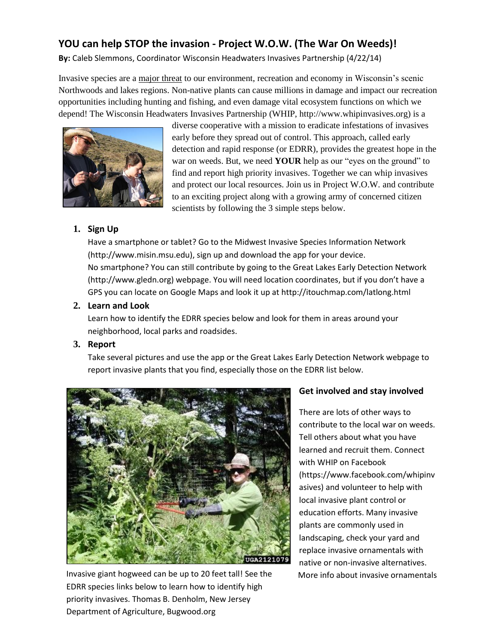# **YOU can help STOP the invasion - Project W.O.W. (The War On Weeds)!**

**By:** Caleb Slemmons, Coordinator Wisconsin Headwaters Invasives Partnership (4/22/14)

Invasive species are a major threat to our environment, recreation and economy in Wisconsin's scenic Northwoods and lakes regions. Non-native plants can cause millions in damage and impact our recreation opportunities including hunting and fishing, and even damage vital ecosystem functions on which we depend! The Wisconsin Headwaters Invasives Partnership (WHIP, http://www.whipinvasives.org) is a



diverse cooperative with a mission to eradicate infestations of invasives early before they spread out of control. This approach, called early detection and rapid response (or EDRR), provides the greatest hope in the war on weeds. But, we need **YOUR** help as our "eyes on the ground" to find and report high priority invasives. Together we can whip invasives and protect our local resources. Join us in Project W.O.W. and contribute to an exciting project along with a growing army of concerned citizen scientists by following the 3 simple steps below.

## **1. Sign Up**

Have a smartphone or tablet? Go to the Midwest Invasive Species Information Network (http://www.misin.msu.edu), sign up and download the app for your device. No smartphone? You can still contribute by going to the Great Lakes Early Detection Network (http://www.gledn.org) webpage. You will need location coordinates, but if you don't have a GPS you can locate on Google Maps and look it up at http://itouchmap.com/latlong.html

## **2. Learn and Look**

Learn how to identify the EDRR species below and look for them in areas around your neighborhood, local parks and roadsides.

## **3. Report**

Take several pictures and use the app or the Great Lakes Early Detection Network webpage to report invasive plants that you find, especially those on the EDRR list below.



Invasive giant hogweed can be up to 20 feet tall! See the More info about invasive ornamentals EDRR species links below to learn how to identify high priority invasives. Thomas B. Denholm, New Jersey Department of Agriculture, Bugwood.org

## **Get involved and stay involved**

There are lots of other ways to contribute to the local war on weeds. Tell others about what you have learned and recruit them. Connect with WHIP on Facebook (https://www.facebook.com/whipinv asives) and volunteer to help with local invasive plant control or education efforts. Many invasive plants are commonly used in landscaping, check your yard and replace invasive ornamentals with native or non-invasive alternatives.